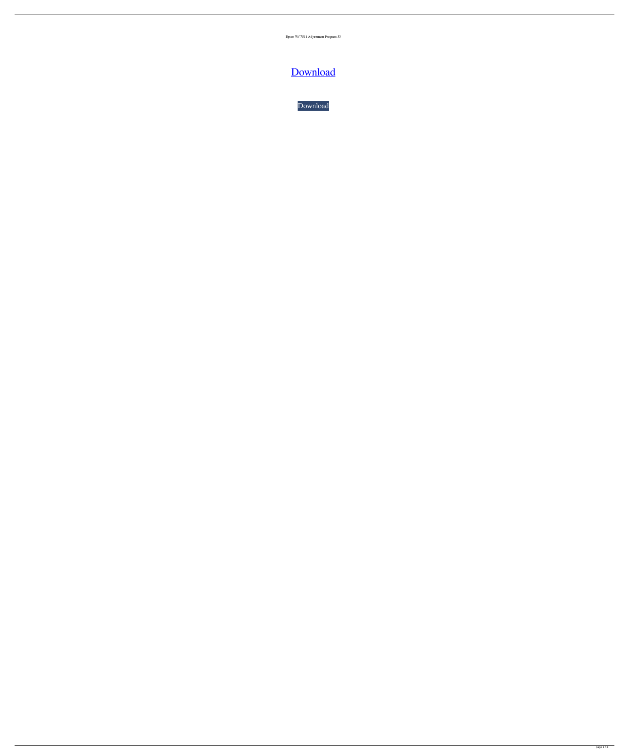Epson Wf 7511 Adjustment Program 33



[Download](http://evacdir.com/ZXBzb24gd2YgNzUxMSBhZGp1c3RtZW50IHByb2dyYW0gMzMZXB/bierproevers/ZG93bmxvYWR8WHQ5TVROeU9IeDhNVFkxTWpjME1EZzJObng4TWpVM05IeDhLRTBwSUhKbFlXUXRZbXh2WnlCYlJtRnpkQ0JIUlU1ZA.accomplish=magistrate&bechstein=renolds&smythe=stubs)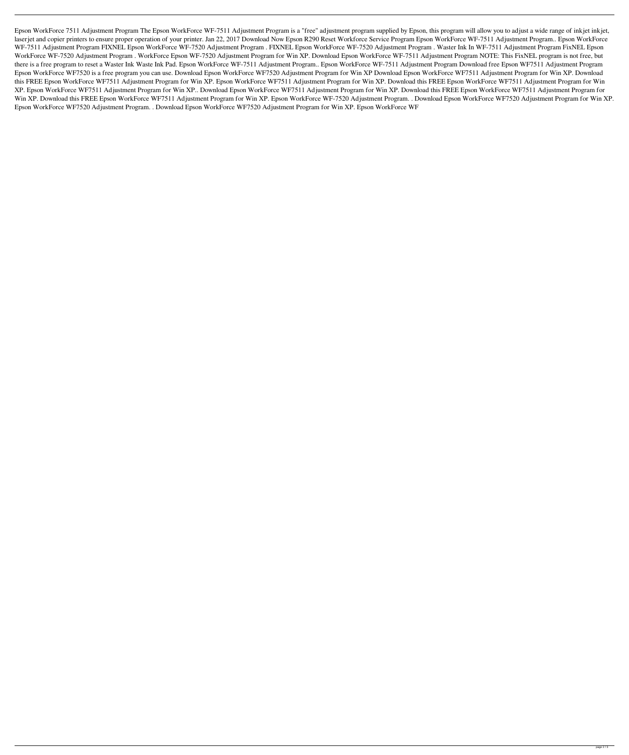Epson WorkForce 7511 Adjustment Program The Epson WorkForce WF-7511 Adjustment Program is a "free" adjustment program supplied by Epson, this program will allow you to adjust a wide range of inkjet inkjet, laserjet and copier printers to ensure proper operation of your printer. Jan 22, 2017 Download Now Epson R290 Reset Workforce Service Program Epson WorkForce WF-7511 Adjustment Program.. Epson WorkForce WF-7511 Adjustment Program FIXNEL Epson WorkForce WF-7520 Adjustment Program . FIXNEL Epson WorkForce WF-7520 Adjustment Program . Waster Ink In WF-7511 Adjustment Program FixNEL Epson WorkForce WF-7520 Adjustment Program . WorkForce Epson WF-7520 Adjustment Program for Win XP. Download Epson WorkForce WF-7511 Adjustment Program NOTE: This FixNEL program is not free, but there is a free program to reset a Waster Ink Waste Ink Pad. Epson WorkForce WF-7511 Adjustment Program Download free Epson WF7511 Adjustment Program Epson WorkForce WF7520 is a free program you can use. Download Epson WorkForce WF7520 Adjustment Program for Win XP Download Epson WorkForce WF7511 Adjustment Program for Win XP. Download this FREE Epson WorkForce WF7511 Adjustment Program for Win XP. Epson WorkForce WF7511 Adjustment Program for Win XP. Download this FREE Epson WorkForce WF7511 Adjustment Program for Win XP. Epson WorkForce WF7511 Adjustment Program for Win XP.. Download Epson WorkForce WF7511 Adjustment Program for Win XP. Download this FREE Epson WorkForce WF7511 Adjustment Program for Win XP. Download this FREE Epson WorkForce WF7511 Adjustment Program for Win XP. Epson WorkForce WF-7520 Adjustment Program. . Download Epson WorkForce WF7520 Adjustment Program for Win XP. Epson WorkForce WF7520 Adjustment Program. . Download Epson WorkForce WF7520 Adjustment Program for Win XP. Epson WorkForce WF